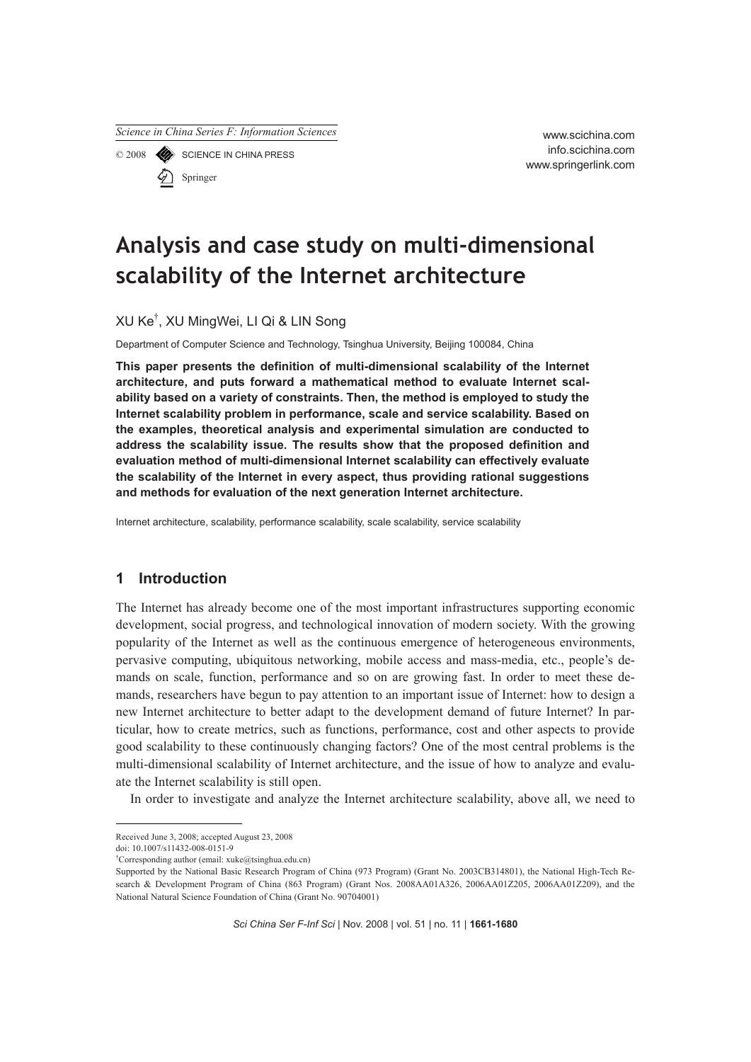*Science in China Series F: Information Sciences*

© 2008 SCIENCE IN CHINA PRESS

Springer

www.scichina.com info.scichina.com www.springerlink.com

# **Analysis and case study on multi-dimensional scalability of the Internet architecture**

XU Ke† , XU MingWei, LI Qi & LIN Song

Department of Computer Science and Technology, Tsinghua University, Beijing 100084, China

**This paper presents the definition of multi-dimensional scalability of the Internet architecture, and puts forward a mathematical method to evaluate Internet scalability based on a variety of constraints. Then, the method is employed to study the Internet scalability problem in performance, scale and service scalability. Based on the examples, theoretical analysis and experimental simulation are conducted to address the scalability issue. The results show that the proposed definition and evaluation method of multi-dimensional Internet scalability can effectively evaluate the scalability of the Internet in every aspect, thus providing rational suggestions and methods for evaluation of the next generation Internet architecture.** 

Internet architecture, scalability, performance scalability, scale scalability, service scalability

# **1 Introduction**

The Internet has already become one of the most important infrastructures supporting economic development, social progress, and technological innovation of modern society. With the growing popularity of the Internet as well as the continuous emergence of heterogeneous environments, pervasive computing, ubiquitous networking, mobile access and mass-media, etc., people's demands on scale, function, performance and so on are growing fast. In order to meet these demands, researchers have begun to pay attention to an important issue of Internet: how to design a new Internet architecture to better adapt to the development demand of future Internet? In particular, how to create metrics, such as functions, performance, cost and other aspects to provide good scalability to these continuously changing factors? One of the most central problems is the multi-dimensional scalability of Internet architecture, and the issue of how to analyze and evaluate the Internet scalability is still open.

In order to investigate and analyze the Internet architecture scalability, above all, we need to

doi: 10.1007/s11432-008-0151-9

Received June 3, 2008; accepted August 23, 2008

<sup>†</sup> Corresponding author (email: xuke@tsinghua.edu.cn)

Supported by the National Basic Research Program of China (973 Program) (Grant No. 2003CB314801), the National High-Tech Research & Development Program of China (863 Program) (Grant Nos. 2008AA01A326, 2006AA01Z205, 2006AA01Z209), and the National Natural Science Foundation of China (Grant No. 90704001)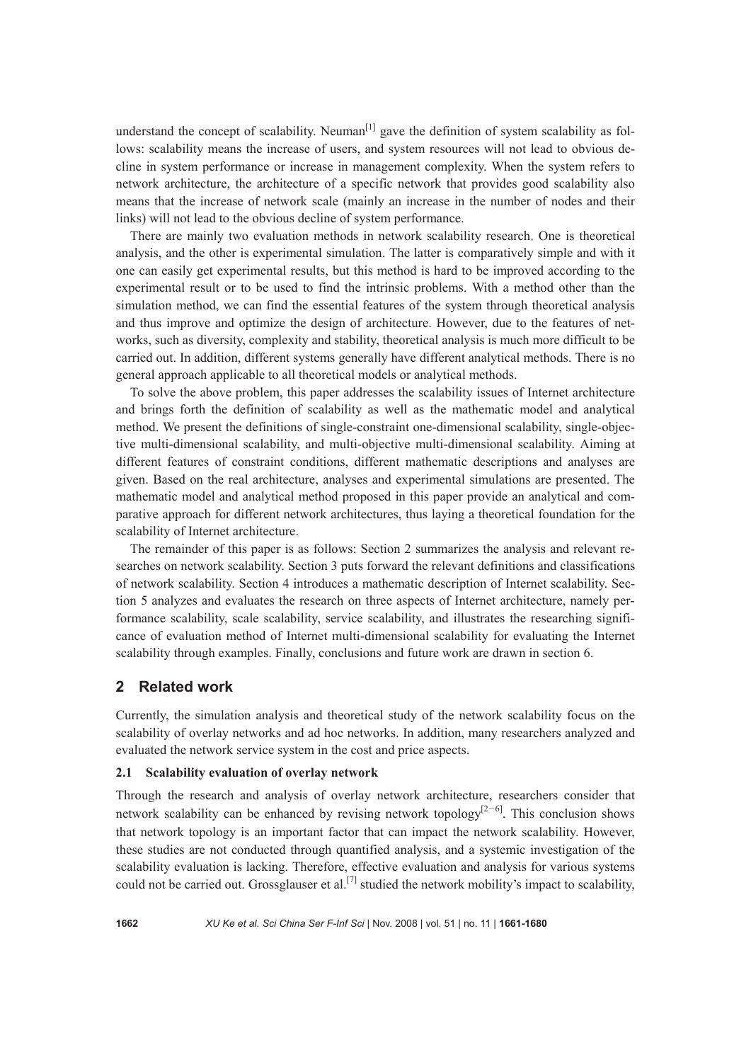understand the concept of scalability. Neuman $\left[1\right]$  gave the definition of system scalability as follows: scalability means the increase of users, and system resources will not lead to obvious decline in system performance or increase in management complexity. When the system refers to network architecture, the architecture of a specific network that provides good scalability also means that the increase of network scale (mainly an increase in the number of nodes and their links) will not lead to the obvious decline of system performance.

There are mainly two evaluation methods in network scalability research. One is theoretical analysis, and the other is experimental simulation. The latter is comparatively simple and with it one can easily get experimental results, but this method is hard to be improved according to the experimental result or to be used to find the intrinsic problems. With a method other than the simulation method, we can find the essential features of the system through theoretical analysis and thus improve and optimize the design of architecture. However, due to the features of networks, such as diversity, complexity and stability, theoretical analysis is much more difficult to be carried out. In addition, different systems generally have different analytical methods. There is no general approach applicable to all theoretical models or analytical methods.

To solve the above problem, this paper addresses the scalability issues of Internet architecture and brings forth the definition of scalability as well as the mathematic model and analytical method. We present the definitions of single-constraint one-dimensional scalability, single-objective multi-dimensional scalability, and multi-objective multi-dimensional scalability. Aiming at different features of constraint conditions, different mathematic descriptions and analyses are given. Based on the real architecture, analyses and experimental simulations are presented. The mathematic model and analytical method proposed in this paper provide an analytical and comparative approach for different network architectures, thus laying a theoretical foundation for the scalability of Internet architecture.

The remainder of this paper is as follows: Section 2 summarizes the analysis and relevant researches on network scalability. Section 3 puts forward the relevant definitions and classifications of network scalability. Section 4 introduces a mathematic description of Internet scalability. Section 5 analyzes and evaluates the research on three aspects of Internet architecture, namely performance scalability, scale scalability, service scalability, and illustrates the researching significance of evaluation method of Internet multi-dimensional scalability for evaluating the Internet scalability through examples. Finally, conclusions and future work are drawn in section 6.

## **2 Related work**

Currently, the simulation analysis and theoretical study of the network scalability focus on the scalability of overlay networks and ad hoc networks. In addition, many researchers analyzed and evaluated the network service system in the cost and price aspects.

#### **2.1 Scalability evaluation of overlay network**

Through the research and analysis of overlay network architecture, researchers consider that network scalability can be enhanced by revising network topology<sup>[2-6]</sup>. This conclusion shows that network topology is an important factor that can impact the network scalability. However, these studies are not conducted through quantified analysis, and a systemic investigation of the scalability evaluation is lacking. Therefore, effective evaluation and analysis for various systems could not be carried out. Grossglauser et al.<sup>[7]</sup> studied the network mobility's impact to scalability,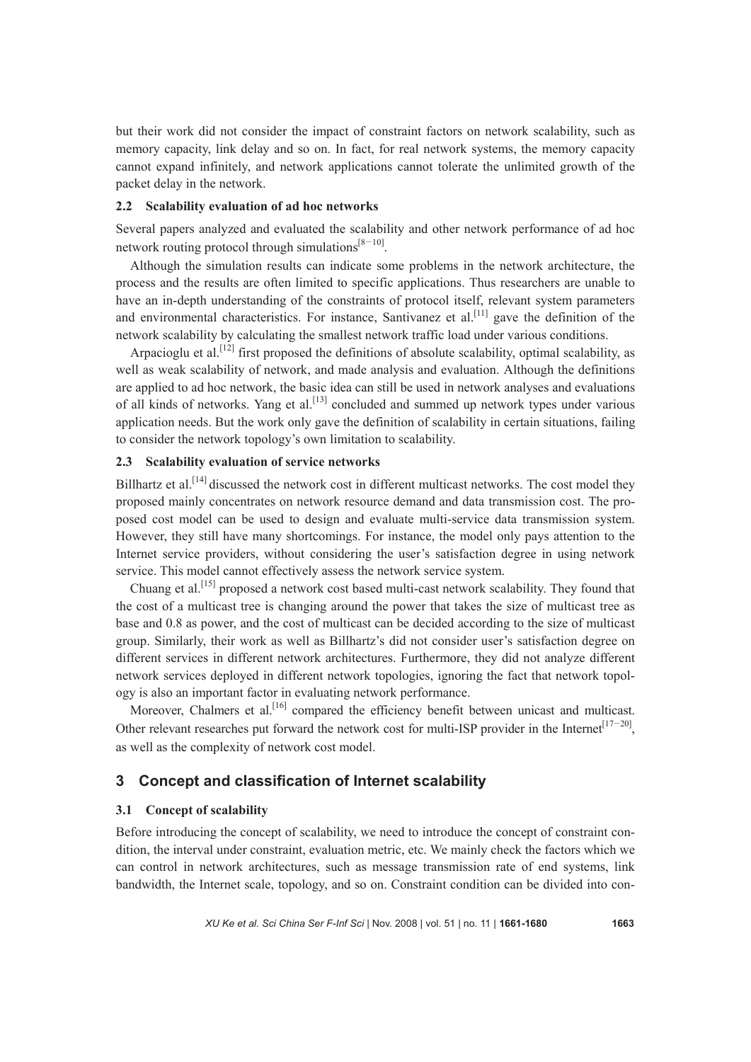but their work did not consider the impact of constraint factors on network scalability, such as memory capacity, link delay and so on. In fact, for real network systems, the memory capacity cannot expand infinitely, and network applications cannot tolerate the unlimited growth of the packet delay in the network.

## **2.2 Scalability evaluation of ad hoc networks**

Several papers analyzed and evaluated the scalability and other network performance of ad hoc network routing protocol through simulations $[8-10]$ .

Although the simulation results can indicate some problems in the network architecture, the process and the results are often limited to specific applications. Thus researchers are unable to have an in-depth understanding of the constraints of protocol itself, relevant system parameters and environmental characteristics. For instance, Santivanez et al.<sup>[11]</sup> gave the definition of the network scalability by calculating the smallest network traffic load under various conditions.

Arpacioglu et al.<sup>[12]</sup> first proposed the definitions of absolute scalability, optimal scalability, as well as weak scalability of network, and made analysis and evaluation. Although the definitions are applied to ad hoc network, the basic idea can still be used in network analyses and evaluations of all kinds of networks. Yang et al.<sup>[13]</sup> concluded and summed up network types under various application needs. But the work only gave the definition of scalability in certain situations, failing to consider the network topology's own limitation to scalability.

# **2.3 Scalability evaluation of service networks**

Billhartz et al.<sup>[14]</sup> discussed the network cost in different multicast networks. The cost model they proposed mainly concentrates on network resource demand and data transmission cost. The proposed cost model can be used to design and evaluate multi-service data transmission system. However, they still have many shortcomings. For instance, the model only pays attention to the Internet service providers, without considering the user's satisfaction degree in using network service. This model cannot effectively assess the network service system.

Chuang et al.[15] proposed a network cost based multi-cast network scalability. They found that the cost of a multicast tree is changing around the power that takes the size of multicast tree as base and 0.8 as power, and the cost of multicast can be decided according to the size of multicast group. Similarly, their work as well as Billhartz's did not consider user's satisfaction degree on different services in different network architectures. Furthermore, they did not analyze different network services deployed in different network topologies, ignoring the fact that network topology is also an important factor in evaluating network performance.

Moreover, Chalmers et al.<sup>[16]</sup> compared the efficiency benefit between unicast and multicast. Other relevant researches put forward the network cost for multi-ISP provider in the Internet<sup>[17-20]</sup>. as well as the complexity of network cost model.

# **3 Concept and classification of Internet scalability**

#### **3.1 Concept of scalability**

Before introducing the concept of scalability, we need to introduce the concept of constraint condition, the interval under constraint, evaluation metric, etc. We mainly check the factors which we can control in network architectures, such as message transmission rate of end systems, link bandwidth, the Internet scale, topology, and so on. Constraint condition can be divided into con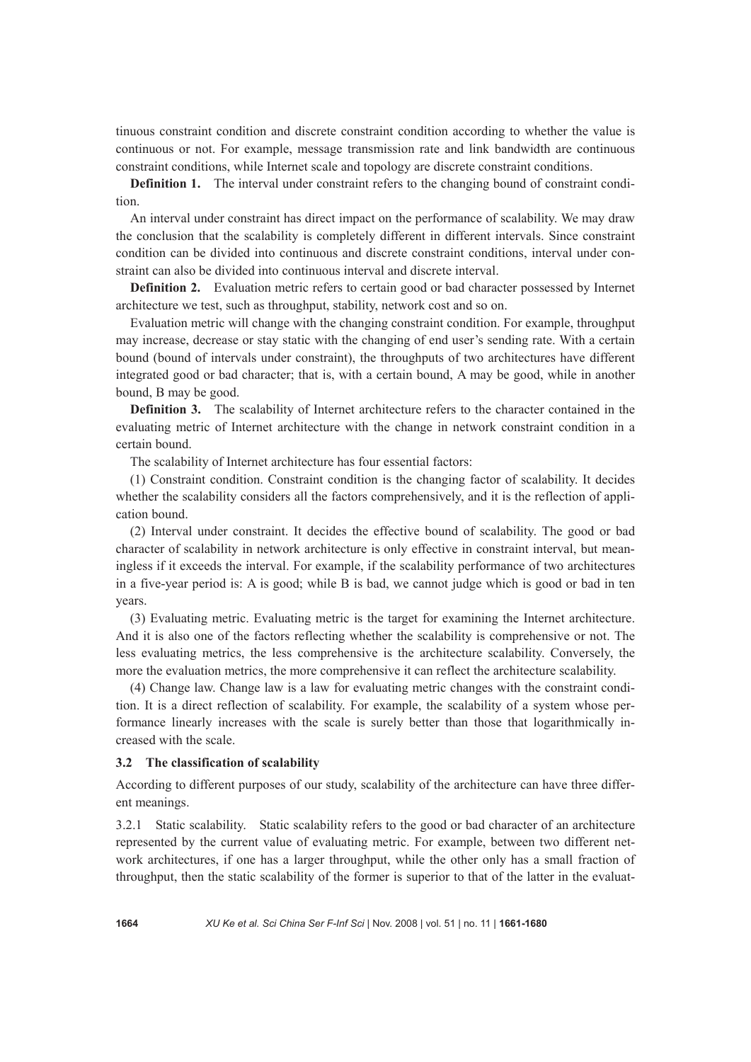tinuous constraint condition and discrete constraint condition according to whether the value is continuous or not. For example, message transmission rate and link bandwidth are continuous constraint conditions, while Internet scale and topology are discrete constraint conditions.

**Definition 1.** The interval under constraint refers to the changing bound of constraint condition.

An interval under constraint has direct impact on the performance of scalability. We may draw the conclusion that the scalability is completely different in different intervals. Since constraint condition can be divided into continuous and discrete constraint conditions, interval under constraint can also be divided into continuous interval and discrete interval.

**Definition 2.** Evaluation metric refers to certain good or bad character possessed by Internet architecture we test, such as throughput, stability, network cost and so on.

Evaluation metric will change with the changing constraint condition. For example, throughput may increase, decrease or stay static with the changing of end user's sending rate. With a certain bound (bound of intervals under constraint), the throughputs of two architectures have different integrated good or bad character; that is, with a certain bound, A may be good, while in another bound, B may be good.

**Definition 3.** The scalability of Internet architecture refers to the character contained in the evaluating metric of Internet architecture with the change in network constraint condition in a certain bound.

The scalability of Internet architecture has four essential factors:

(1) Constraint condition. Constraint condition is the changing factor of scalability. It decides whether the scalability considers all the factors comprehensively, and it is the reflection of application bound.

(2) Interval under constraint. It decides the effective bound of scalability. The good or bad character of scalability in network architecture is only effective in constraint interval, but meaningless if it exceeds the interval. For example, if the scalability performance of two architectures in a five-year period is: A is good; while B is bad, we cannot judge which is good or bad in ten years.

(3) Evaluating metric. Evaluating metric is the target for examining the Internet architecture. And it is also one of the factors reflecting whether the scalability is comprehensive or not. The less evaluating metrics, the less comprehensive is the architecture scalability. Conversely, the more the evaluation metrics, the more comprehensive it can reflect the architecture scalability.

(4) Change law. Change law is a law for evaluating metric changes with the constraint condition. It is a direct reflection of scalability. For example, the scalability of a system whose performance linearly increases with the scale is surely better than those that logarithmically increased with the scale.

#### **3.2 The classification of scalability**

According to different purposes of our study, scalability of the architecture can have three different meanings.

3.2.1 Static scalability. Static scalability refers to the good or bad character of an architecture represented by the current value of evaluating metric. For example, between two different network architectures, if one has a larger throughput, while the other only has a small fraction of throughput, then the static scalability of the former is superior to that of the latter in the evaluat-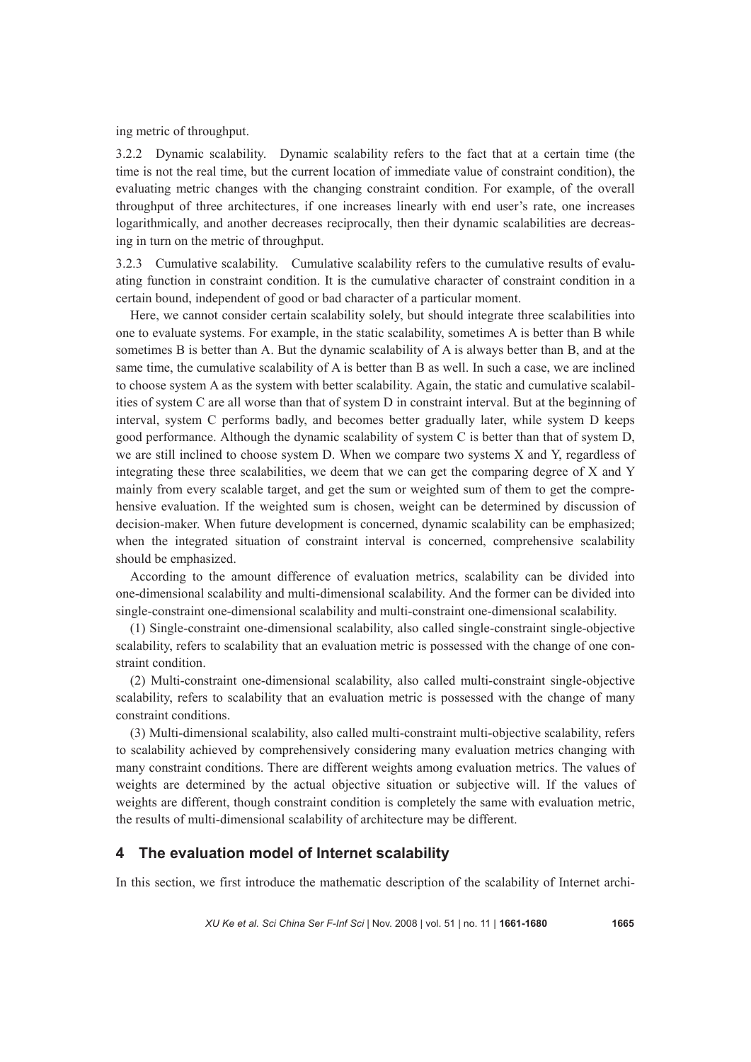ing metric of throughput.

3.2.2 Dynamic scalability. Dynamic scalability refers to the fact that at a certain time (the time is not the real time, but the current location of immediate value of constraint condition), the evaluating metric changes with the changing constraint condition. For example, of the overall throughput of three architectures, if one increases linearly with end user's rate, one increases logarithmically, and another decreases reciprocally, then their dynamic scalabilities are decreasing in turn on the metric of throughput.

3.2.3 Cumulative scalability. Cumulative scalability refers to the cumulative results of evaluating function in constraint condition. It is the cumulative character of constraint condition in a certain bound, independent of good or bad character of a particular moment.

Here, we cannot consider certain scalability solely, but should integrate three scalabilities into one to evaluate systems. For example, in the static scalability, sometimes A is better than B while sometimes B is better than A. But the dynamic scalability of A is always better than B, and at the same time, the cumulative scalability of A is better than B as well. In such a case, we are inclined to choose system A as the system with better scalability. Again, the static and cumulative scalabilities of system C are all worse than that of system D in constraint interval. But at the beginning of interval, system C performs badly, and becomes better gradually later, while system D keeps good performance. Although the dynamic scalability of system C is better than that of system D, we are still inclined to choose system D. When we compare two systems X and Y, regardless of integrating these three scalabilities, we deem that we can get the comparing degree of X and Y mainly from every scalable target, and get the sum or weighted sum of them to get the comprehensive evaluation. If the weighted sum is chosen, weight can be determined by discussion of decision-maker. When future development is concerned, dynamic scalability can be emphasized; when the integrated situation of constraint interval is concerned, comprehensive scalability should be emphasized.

According to the amount difference of evaluation metrics, scalability can be divided into one-dimensional scalability and multi-dimensional scalability. And the former can be divided into single-constraint one-dimensional scalability and multi-constraint one-dimensional scalability.

(1) Single-constraint one-dimensional scalability, also called single-constraint single-objective scalability, refers to scalability that an evaluation metric is possessed with the change of one constraint condition.

(2) Multi-constraint one-dimensional scalability, also called multi-constraint single-objective scalability, refers to scalability that an evaluation metric is possessed with the change of many constraint conditions.

(3) Multi-dimensional scalability, also called multi-constraint multi-objective scalability, refers to scalability achieved by comprehensively considering many evaluation metrics changing with many constraint conditions. There are different weights among evaluation metrics. The values of weights are determined by the actual objective situation or subjective will. If the values of weights are different, though constraint condition is completely the same with evaluation metric, the results of multi-dimensional scalability of architecture may be different.

# **4 The evaluation model of Internet scalability**

In this section, we first introduce the mathematic description of the scalability of Internet archi-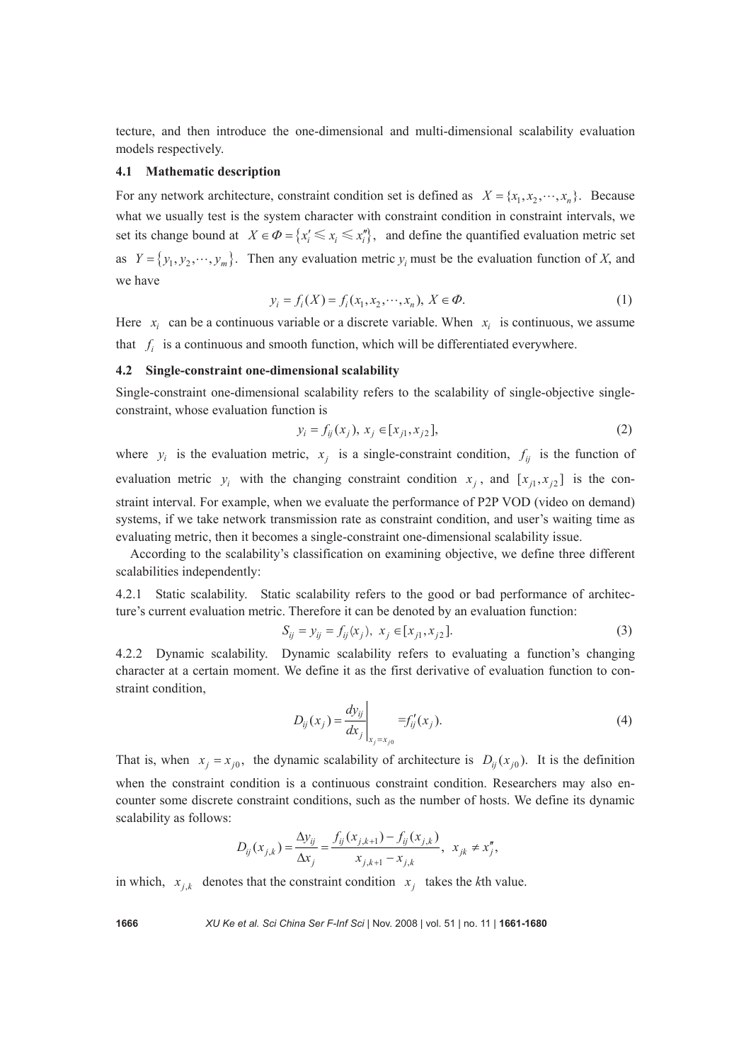tecture, and then introduce the one-dimensional and multi-dimensional scalability evaluation models respectively.

## **4.1 Mathematic description**

For any network architecture, constraint condition set is defined as  $X = \{x_1, x_2, \dots, x_n\}$ . Because what we usually test is the system character with constraint condition in constraint intervals, we set its change bound at  $X \in \Phi = \{x_i' \le x_i \le x_i''\}$ , and define the quantified evaluation metric set as  $Y = \{y_1, y_2, \dots, y_m\}$ . Then any evaluation metric  $y_i$  must be the evaluation function of *X*, and we have

$$
y_i = f_i(X) = f_i(x_1, x_2, \cdots, x_n), \ X \in \Phi.
$$
 (1)

Here  $x_i$  can be a continuous variable or a discrete variable. When  $x_i$  is continuous, we assume that  $f_i$  is a continuous and smooth function, which will be differentiated everywhere.

### **4.2 Single-constraint one-dimensional scalability**

Single-constraint one-dimensional scalability refers to the scalability of single-objective singleconstraint, whose evaluation function is

$$
y_i = f_{ij}(x_j), \ x_j \in [x_{j1}, x_{j2}], \tag{2}
$$

where  $y_i$  is the evaluation metric,  $x_i$  is a single-constraint condition,  $f_{ij}$  is the function of evaluation metric  $y_i$  with the changing constraint condition  $x_i$ , and  $[x_{i1}, x_{i2}]$  is the constraint interval. For example, when we evaluate the performance of P2P VOD (video on demand) systems, if we take network transmission rate as constraint condition, and user's waiting time as evaluating metric, then it becomes a single-constraint one-dimensional scalability issue.

According to the scalability's classification on examining objective, we define three different scalabilities independently:

4.2.1 Static scalability. Static scalability refers to the good or bad performance of architecture's current evaluation metric. Therefore it can be denoted by an evaluation function:

$$
S_{ij} = y_{ij} = f_{ij}(x_j), \ x_j \in [x_{j1}, x_{j2}].
$$
 (3)

4.2.2 Dynamic scalability. Dynamic scalability refers to evaluating a function's changing character at a certain moment. We define it as the first derivative of evaluation function to constraint condition,

$$
D_{ij}(x_j) = \frac{dy_{ij}}{dx_j}\bigg|_{x_j = x_{j0}} = f'_{ij}(x_j).
$$
 (4)

That is, when  $x_i = x_{i0}$ , the dynamic scalability of architecture is  $D_{ij}(x_{i0})$ . It is the definition when the constraint condition is a continuous constraint condition. Researchers may also encounter some discrete constraint conditions, such as the number of hosts. We define its dynamic scalability as follows:

$$
D_{ij}(x_{j,k}) = \frac{\Delta y_{ij}}{\Delta x_j} = \frac{f_{ij}(x_{j,k+1}) - f_{ij}(x_{j,k})}{x_{j,k+1} - x_{j,k}}, \ \ x_{jk} \neq x''_j,
$$

in which,  $x_{i,k}$  denotes that the constraint condition  $x_i$  takes the *k*th value.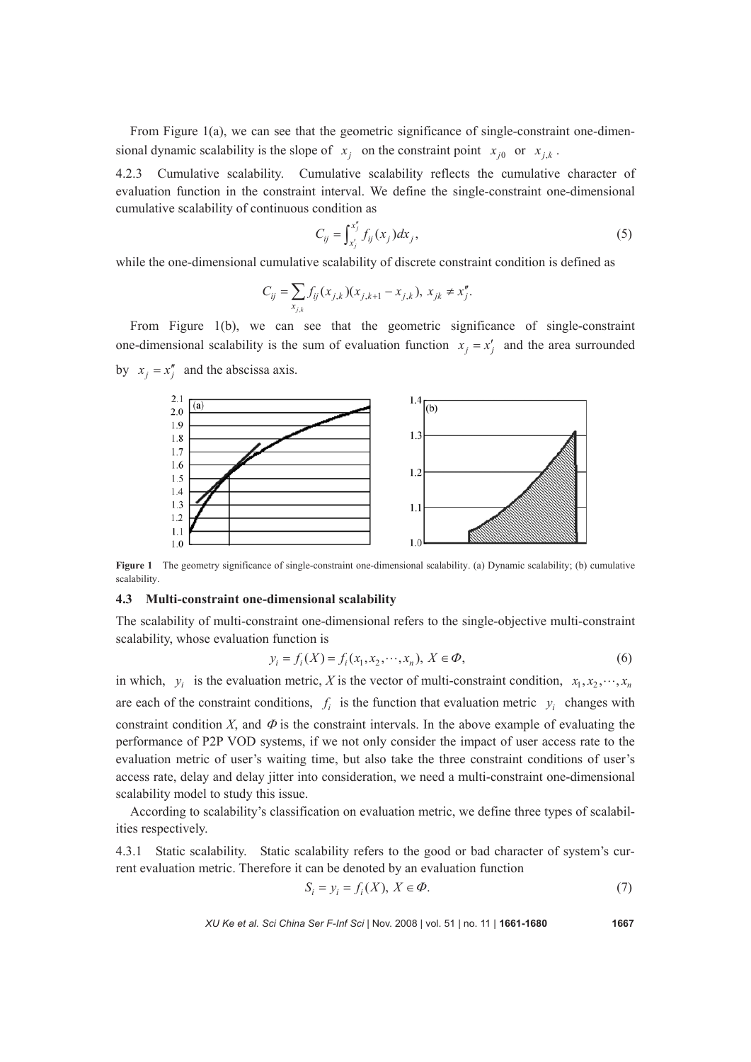From Figure 1(a), we can see that the geometric significance of single-constraint one-dimensional dynamic scalability is the slope of  $x_j$  on the constraint point  $x_{j0}$  or  $x_{j,k}$ .

4.2.3 Cumulative scalability. Cumulative scalability reflects the cumulative character of evaluation function in the constraint interval. We define the single-constraint one-dimensional cumulative scalability of continuous condition as

$$
C_{ij} = \int_{x'_j}^{x''_j} f_{ij}(x_j) dx_j,
$$
 (5)

while the one-dimensional cumulative scalability of discrete constraint condition is defined as

$$
C_{ij} = \sum_{x_{j,k}} f_{ij}(x_{j,k}) (x_{j,k+1} - x_{j,k}), \ x_{jk} \neq x''_j.
$$

From Figure 1(b), we can see that the geometric significance of single-constraint one-dimensional scalability is the sum of evaluation function  $x_i = x'_i$  and the area surrounded by  $x_i = x_i''$  and the abscissa axis.



**Figure 1** The geometry significance of single-constraint one-dimensional scalability. (a) Dynamic scalability; (b) cumulative scalability.

### **4.3 Multi-constraint one-dimensional scalability**

The scalability of multi-constraint one-dimensional refers to the single-objective multi-constraint scalability, whose evaluation function is

$$
y_i = f_i(X) = f_i(x_1, x_2, \cdots, x_n), \ X \in \Phi,
$$
\n(6)

in which,  $y_i$  is the evaluation metric, *X* is the vector of multi-constraint condition,  $x_1, x_2, \dots, x_n$ are each of the constraint conditions,  $f_i$  is the function that evaluation metric  $y_i$  changes with constraint condition *X*, and  $\Phi$  is the constraint intervals. In the above example of evaluating the performance of P2P VOD systems, if we not only consider the impact of user access rate to the evaluation metric of user's waiting time, but also take the three constraint conditions of user's access rate, delay and delay jitter into consideration, we need a multi-constraint one-dimensional scalability model to study this issue.

According to scalability's classification on evaluation metric, we define three types of scalabilities respectively.

4.3.1 Static scalability. Static scalability refers to the good or bad character of system's current evaluation metric. Therefore it can be denoted by an evaluation function

$$
S_i = y_i = f_i(X), X \in \Phi.
$$
\n<sup>(7)</sup>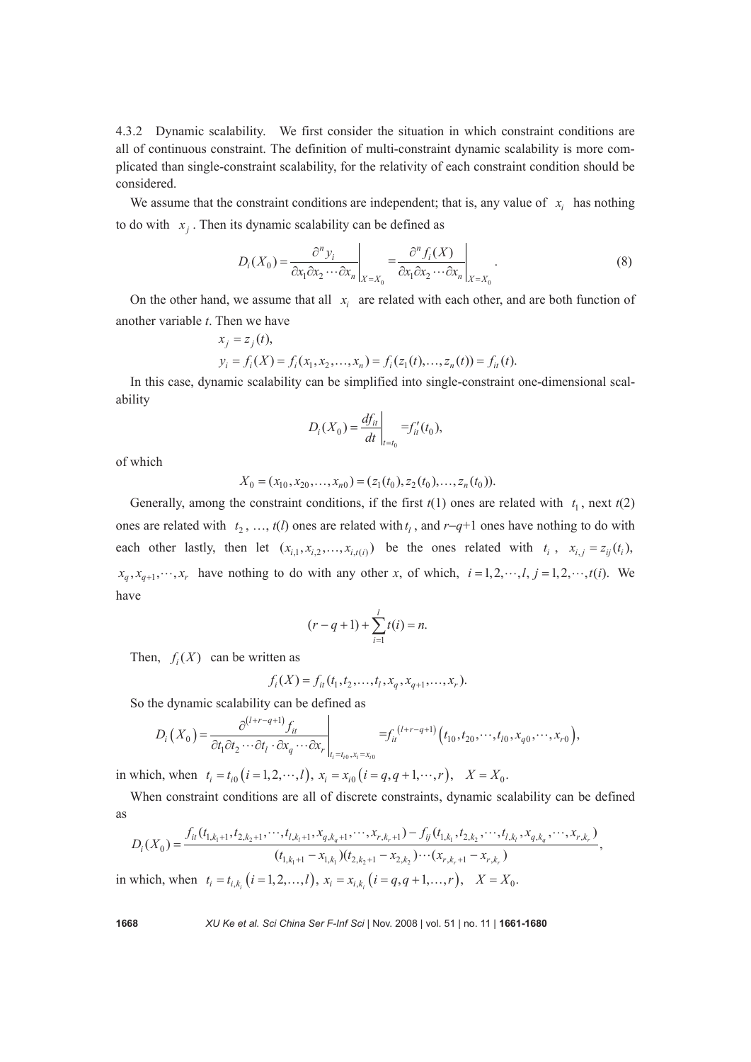4.3.2 Dynamic scalability. We first consider the situation in which constraint conditions are all of continuous constraint. The definition of multi-constraint dynamic scalability is more complicated than single-constraint scalability, for the relativity of each constraint condition should be considered.

We assume that the constraint conditions are independent; that is, any value of  $x_i$  has nothing to do with  $x_i$ . Then its dynamic scalability can be defined as

$$
D_i(X_0) = \frac{\partial^n y_i}{\partial x_1 \partial x_2 \cdots \partial x_n} \bigg|_{X = X_0} = \frac{\partial^n f_i(X)}{\partial x_1 \partial x_2 \cdots \partial x_n} \bigg|_{X = X_0}.
$$
 (8)

On the other hand, we assume that all  $x_i$  are related with each other, and are both function of another variable *t*. Then we have

$$
x_j = z_j(t),
$$
  
\n
$$
y_i = f_i(X) = f_i(x_1, x_2, ..., x_n) = f_i(z_1(t), ..., z_n(t)) = f_{it}(t).
$$

In this case, dynamic scalability can be simplified into single-constraint one-dimensional scalability

$$
D_i(X_0) = \frac{df_{it}}{dt}\bigg|_{t=t_0} = f'_{it}(t_0),
$$

of which

$$
X_0 = (x_{10}, x_{20}, \dots, x_{n0}) = (z_1(t_0), z_2(t_0), \dots, z_n(t_0)).
$$

Generally, among the constraint conditions, if the first  $t(1)$  ones are related with  $t_1$ , next  $t(2)$ ones are related with  $t_2$ , …,  $t(l)$  ones are related with  $t_l$ , and  $r-q+1$  ones have nothing to do with each other lastly, then let  $(x_{i,1}, x_{i,2}, \ldots, x_{i,t(i)})$  be the ones related with  $t_i$ ,  $x_{i,j} = z_{ij}(t_i)$ ,  $x_q, x_{q+1}, \dots, x_r$  have nothing to do with any other x, of which,  $i = 1, 2, \dots, l, j = 1, 2, \dots, t(i)$ . We have

$$
(r - q + 1) + \sum_{i=1}^{l} t(i) = n.
$$

Then,  $f_i(X)$  can be written as

$$
f_i(X) = f_{it}(t_1, t_2, \dots, t_l, x_q, x_{q+1}, \dots, x_r).
$$

So the dynamic scalability can be defined as

$$
D_i(X_0) = \frac{\partial^{(l+r-q+1)} f_{it}}{\partial t_1 \partial t_2 \cdots \partial t_l \cdot \partial x_q \cdots \partial x_r}\Big|_{t_i = t_{i_0}, x_i = x_{i_0}} = f_{it}^{(l+r-q+1)}(t_{10}, t_{20}, \cdots, t_{l0}, x_{q0}, \cdots, x_{r0}),
$$

in which, when  $t_i = t_{i0} (i = 1, 2, \dots, l)$ ,  $x_i = x_{i0} (i = q, q + 1, \dots, r)$ ,  $X = X_0$ .

When constraint conditions are all of discrete constraints, dynamic scalability can be defined as

$$
D_i(X_0) = \frac{f_{ii}(t_{1,k_1+1}, t_{2,k_2+1}, \cdots, t_{l,k_l+1}, x_{q,k_q+1}, \cdots, x_{r,k_r+1}) - f_{ij}(t_{1,k_1}, t_{2,k_2}, \cdots, t_{l,k_l}, x_{q,k_q}, \cdots, x_{r,k_r})}{(t_{1,k_1+1} - x_{1,k_1})(t_{2,k_2+1} - x_{2,k_2}) \cdots (x_{r,k_r+1} - x_{r,k_r})},
$$
\nwhich when  $t_1 = t_1$ ,  $(i = 1, 2, \ldots, l)$ ,  $x_2 = x_2$ ,  $(i = a, q+1, \ldots, l)$ ,  $X = X_0$ .

in which, when  $t_i = t_{i,k_i}$   $(i = 1,2,...,l)$ ,  $x_i = x_{i,k_i}$   $(i = q, q+1,...,r)$ ,  $X = X_0$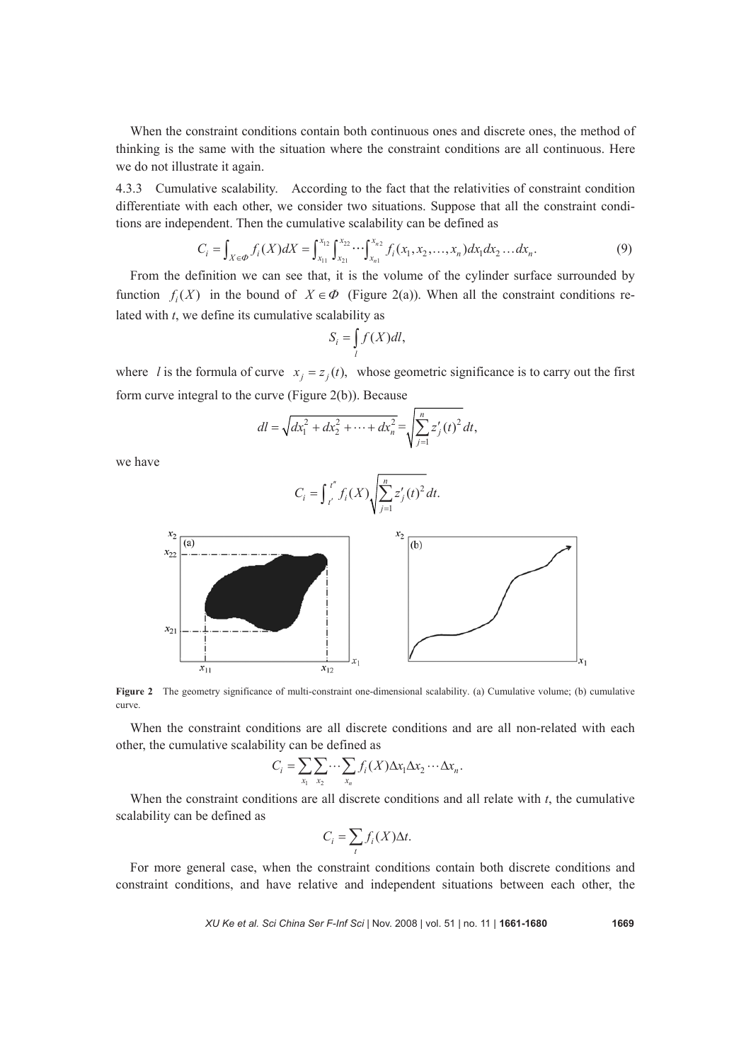When the constraint conditions contain both continuous ones and discrete ones, the method of thinking is the same with the situation where the constraint conditions are all continuous. Here we do not illustrate it again.

4.3.3 Cumulative scalability. According to the fact that the relativities of constraint condition differentiate with each other, we consider two situations. Suppose that all the constraint conditions are independent. Then the cumulative scalability can be defined as

$$
C_i = \int_{X \in \mathcal{Q}} f_i(X) dX = \int_{x_{11}}^{x_{12}} \int_{x_{21}}^{x_{22}} \cdots \int_{x_{n1}}^{x_{n2}} f_i(x_1, x_2, \dots, x_n) dx_1 dx_2 \dots dx_n.
$$
 (9)

From the definition we can see that, it is the volume of the cylinder surface surrounded by function  $f_i(X)$  in the bound of  $X \in \Phi$  (Figure 2(a)). When all the constraint conditions related with *t*, we define its cumulative scalability as

$$
S_i = \int_l f(X)dl,
$$

where *l* is the formula of curve  $x_i = z_i(t)$ , whose geometric significance is to carry out the first form curve integral to the curve (Figure 2(b)). Because

$$
dl = \sqrt{dx_1^2 + dx_2^2 + \dots + dx_n^2} = \sqrt{\sum_{j=1}^n z'_j(t)^2} dt,
$$

we have

$$
C_i = \int_{t'}^{t''} f_i(X) \sqrt{\sum_{j=1}^{n} z'_j(t)^2} dt.
$$



**Figure 2** The geometry significance of multi-constraint one-dimensional scalability. (a) Cumulative volume; (b) cumulative curve.

When the constraint conditions are all discrete conditions and are all non-related with each other, the cumulative scalability can be defined as

$$
C_i = \sum_{x_1} \sum_{x_2} \cdots \sum_{x_n} f_i(X) \Delta x_1 \Delta x_2 \cdots \Delta x_n.
$$

When the constraint conditions are all discrete conditions and all relate with *t*, the cumulative scalability can be defined as

$$
C_i = \sum_t f_i(X) \Delta t.
$$

For more general case, when the constraint conditions contain both discrete conditions and constraint conditions, and have relative and independent situations between each other, the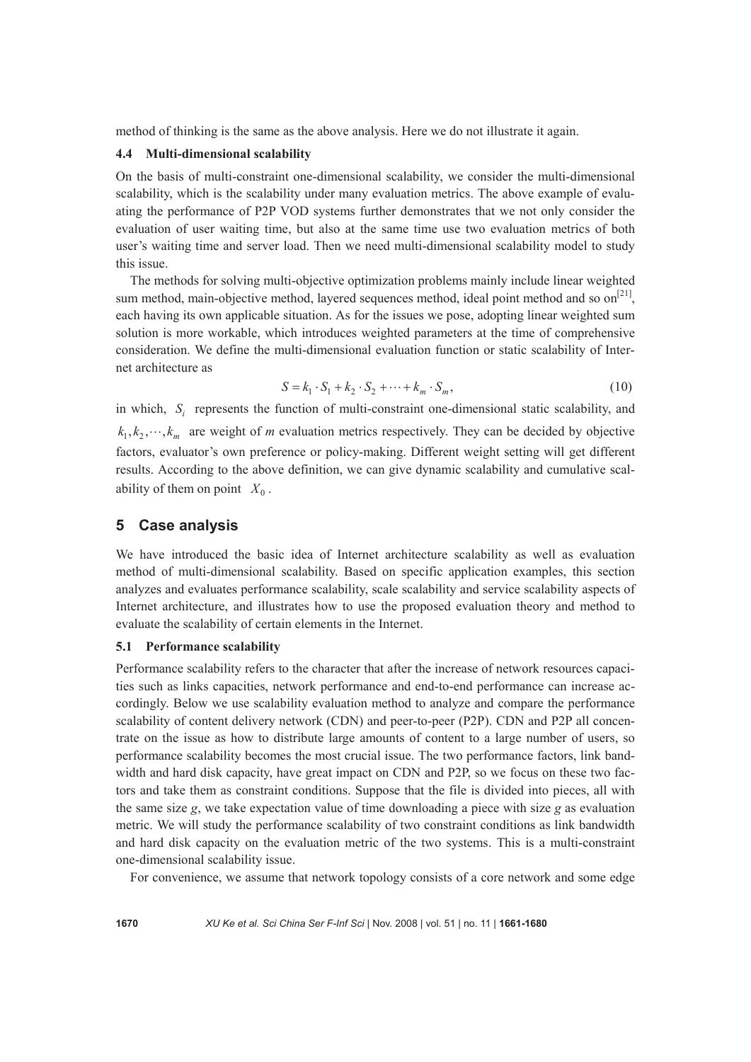method of thinking is the same as the above analysis. Here we do not illustrate it again.

#### **4.4 Multi-dimensional scalability**

On the basis of multi-constraint one-dimensional scalability, we consider the multi-dimensional scalability, which is the scalability under many evaluation metrics. The above example of evaluating the performance of P2P VOD systems further demonstrates that we not only consider the evaluation of user waiting time, but also at the same time use two evaluation metrics of both user's waiting time and server load. Then we need multi-dimensional scalability model to study this issue.

The methods for solving multi-objective optimization problems mainly include linear weighted sum method, main-objective method, layered sequences method, ideal point method and so on<sup>[21]</sup>, each having its own applicable situation. As for the issues we pose, adopting linear weighted sum solution is more workable, which introduces weighted parameters at the time of comprehensive consideration. We define the multi-dimensional evaluation function or static scalability of Internet architecture as

$$
S = k_1 \cdot S_1 + k_2 \cdot S_2 + \dots + k_m \cdot S_m, \qquad (10)
$$

in which, *S<sub>i</sub>* represents the function of multi-constraint one-dimensional static scalability, and  $k_1, k_2, \dots, k_m$  are weight of *m* evaluation metrics respectively. They can be decided by objective factors, evaluator's own preference or policy-making. Different weight setting will get different results. According to the above definition, we can give dynamic scalability and cumulative scalability of them on point  $X_0$ .

# **5 Case analysis**

We have introduced the basic idea of Internet architecture scalability as well as evaluation method of multi-dimensional scalability. Based on specific application examples, this section analyzes and evaluates performance scalability, scale scalability and service scalability aspects of Internet architecture, and illustrates how to use the proposed evaluation theory and method to evaluate the scalability of certain elements in the Internet.

## **5.1 Performance scalability**

Performance scalability refers to the character that after the increase of network resources capacities such as links capacities, network performance and end-to-end performance can increase accordingly. Below we use scalability evaluation method to analyze and compare the performance scalability of content delivery network (CDN) and peer-to-peer (P2P). CDN and P2P all concentrate on the issue as how to distribute large amounts of content to a large number of users, so performance scalability becomes the most crucial issue. The two performance factors, link bandwidth and hard disk capacity, have great impact on CDN and P2P, so we focus on these two factors and take them as constraint conditions. Suppose that the file is divided into pieces, all with the same size *g*, we take expectation value of time downloading a piece with size *g* as evaluation metric. We will study the performance scalability of two constraint conditions as link bandwidth and hard disk capacity on the evaluation metric of the two systems. This is a multi-constraint one-dimensional scalability issue.

For convenience, we assume that network topology consists of a core network and some edge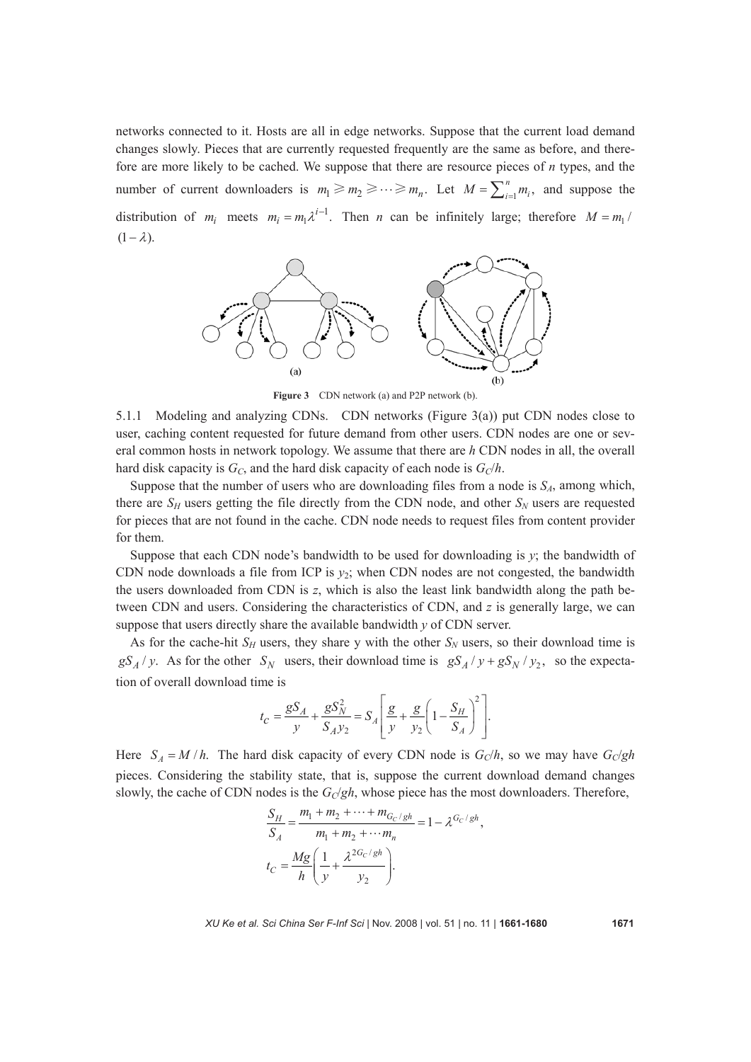networks connected to it. Hosts are all in edge networks. Suppose that the current load demand changes slowly. Pieces that are currently requested frequently are the same as before, and therefore are more likely to be cached. We suppose that there are resource pieces of *n* types, and the number of current downloaders is  $m_1 \ge m_2 \ge \cdots \ge m_n$ . Let  $M = \sum_{i=1}^n m_i$ , and suppose the distribution of  $m_i$  meets  $m_i = m_1 \lambda^{i-1}$ . Then *n* can be infinitely large; therefore  $M = m_1 / n$  $(1 - \lambda)$ .



**Figure 3** CDN network (a) and P2P network (b).

5.1.1 Modeling and analyzing CDNs. CDN networks (Figure 3(a)) put CDN nodes close to user, caching content requested for future demand from other users. CDN nodes are one or several common hosts in network topology. We assume that there are *h* CDN nodes in all, the overall hard disk capacity is  $G_C$ , and the hard disk capacity of each node is  $G_C/h$ .

Suppose that the number of users who are downloading files from a node is  $S_A$ , among which, there are  $S_H$  users getting the file directly from the CDN node, and other  $S_N$  users are requested for pieces that are not found in the cache. CDN node needs to request files from content provider for them.

Suppose that each CDN node's bandwidth to be used for downloading is *y*; the bandwidth of CDN node downloads a file from ICP is  $y_2$ ; when CDN nodes are not congested, the bandwidth the users downloaded from CDN is *z*, which is also the least link bandwidth along the path between CDN and users. Considering the characteristics of CDN, and *z* is generally large, we can suppose that users directly share the available bandwidth *y* of CDN server.

As for the cache-hit  $S_H$  users, they share y with the other  $S_N$  users, so their download time is  $gS_A / y$ . As for the other  $S_N$  users, their download time is  $gS_A / y + gS_N / y_2$ , so the expectation of overall download time is

$$
t_C = \frac{gS_A}{y} + \frac{gS_N^2}{S_A y_2} = S_A \left[ \frac{g}{y} + \frac{g}{y_2} \left( 1 - \frac{S_H}{S_A} \right)^2 \right].
$$

Here  $S_A = M/h$ . The hard disk capacity of every CDN node is  $G_C/h$ , so we may have  $G_C/gh$ pieces. Considering the stability state, that is, suppose the current download demand changes slowly, the cache of CDN nodes is the  $G_C/gh$ , whose piece has the most downloaders. Therefore,

$$
\frac{S_H}{S_A} = \frac{m_1 + m_2 + \dots + m_{G_C/gh}}{m_1 + m_2 + \dots + m_n} = 1 - \lambda^{G_C/gh},
$$
  

$$
t_C = \frac{Mg}{h} \left( \frac{1}{y} + \frac{\lambda^{2G_C/gh}}{y_2} \right).
$$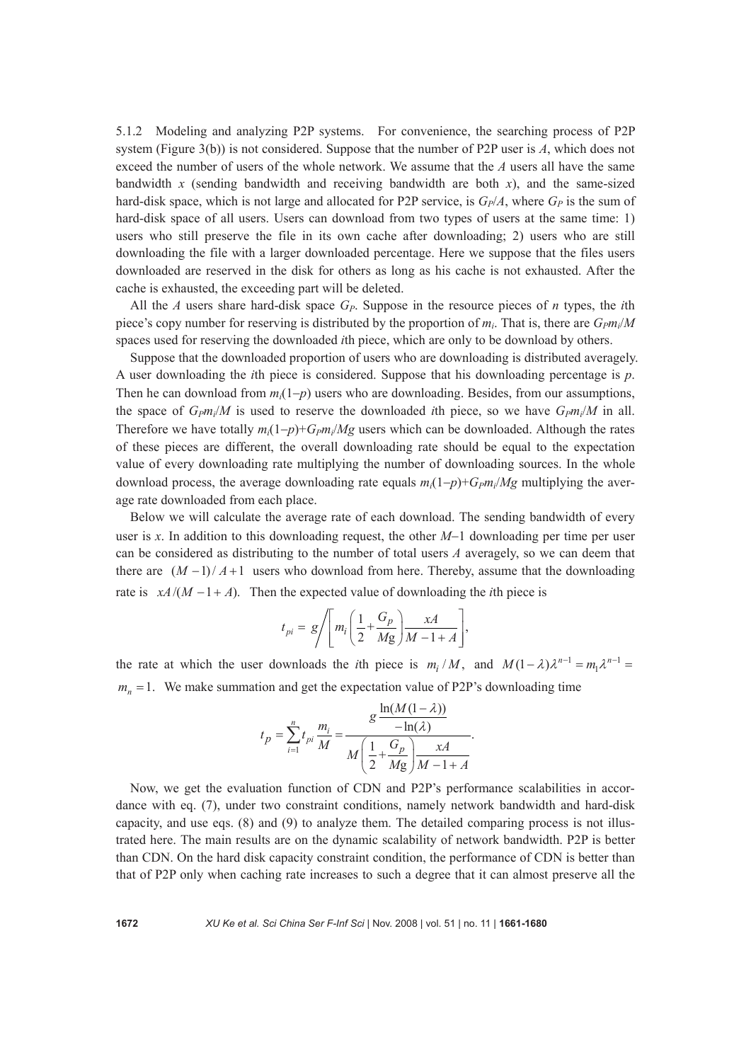5.1.2 Modeling and analyzing P2P systems. For convenience, the searching process of P2P system (Figure 3(b)) is not considered. Suppose that the number of P2P user is *A*, which does not exceed the number of users of the whole network. We assume that the *A* users all have the same bandwidth *x* (sending bandwidth and receiving bandwidth are both *x*), and the same-sized hard-disk space, which is not large and allocated for P2P service, is  $G_P/A$ , where  $G_P$  is the sum of hard-disk space of all users. Users can download from two types of users at the same time: 1) users who still preserve the file in its own cache after downloading; 2) users who are still downloading the file with a larger downloaded percentage. Here we suppose that the files users downloaded are reserved in the disk for others as long as his cache is not exhausted. After the cache is exhausted, the exceeding part will be deleted.

All the *A* users share hard-disk space *GP*. Suppose in the resource pieces of *n* types, the *i*th piece's copy number for reserving is distributed by the proportion of  $m_i$ . That is, there are  $G_Pm_i/M$ spaces used for reserving the downloaded *i*th piece, which are only to be download by others.

Suppose that the downloaded proportion of users who are downloading is distributed averagely. A user downloading the *i*th piece is considered. Suppose that his downloading percentage is *p*. Then he can download from  $m_i(1-p)$  users who are downloading. Besides, from our assumptions, the space of  $G_{Pm}/M$  is used to reserve the downloaded *i*th piece, so we have  $G_{Pm}/M$  in all. Therefore we have totally  $m_i(1-p)+G_Pm_i/Mg$  users which can be downloaded. Although the rates of these pieces are different, the overall downloading rate should be equal to the expectation value of every downloading rate multiplying the number of downloading sources. In the whole download process, the average downloading rate equals  $m_i(1-p)+Gpm_i/Mg$  multiplying the average rate downloaded from each place.

Below we will calculate the average rate of each download. The sending bandwidth of every user is *x*. In addition to this downloading request, the other *M*−1 downloading per time per user can be considered as distributing to the number of total users *A* averagely, so we can deem that there are  $(M-1)/A+1$  users who download from here. Thereby, assume that the downloading rate is  $xA/(M - 1 + A)$ . Then the expected value of downloading the *i*th piece is

$$
t_{pi} = g \Bigg/ \Bigg[ m_i \Bigg( \frac{1}{2} + \frac{G_p}{Mg} \Bigg) \frac{xA}{M - 1 + A} \Bigg],
$$

the rate at which the user downloads the *i*th piece is  $m_i / M$ , and  $M(1 - \lambda)\lambda^{n-1} = m_1 \lambda^{n-1}$  $m<sub>n</sub> = 1$ . We make summation and get the expectation value of P2P's downloading time

$$
t_{p} = \sum_{i=1}^{n} t_{pi} \frac{m_{i}}{M} = \frac{g \frac{\ln(M(1-\lambda))}{-\ln(\lambda)}}{M \left(\frac{1}{2} + \frac{G_{p}}{Mg}\right) \frac{xA}{M-1+A}}.
$$

Now, we get the evaluation function of CDN and P2P's performance scalabilities in accordance with eq. (7), under two constraint conditions, namely network bandwidth and hard-disk capacity, and use eqs. (8) and (9) to analyze them. The detailed comparing process is not illustrated here. The main results are on the dynamic scalability of network bandwidth. P2P is better than CDN. On the hard disk capacity constraint condition, the performance of CDN is better than that of P2P only when caching rate increases to such a degree that it can almost preserve all the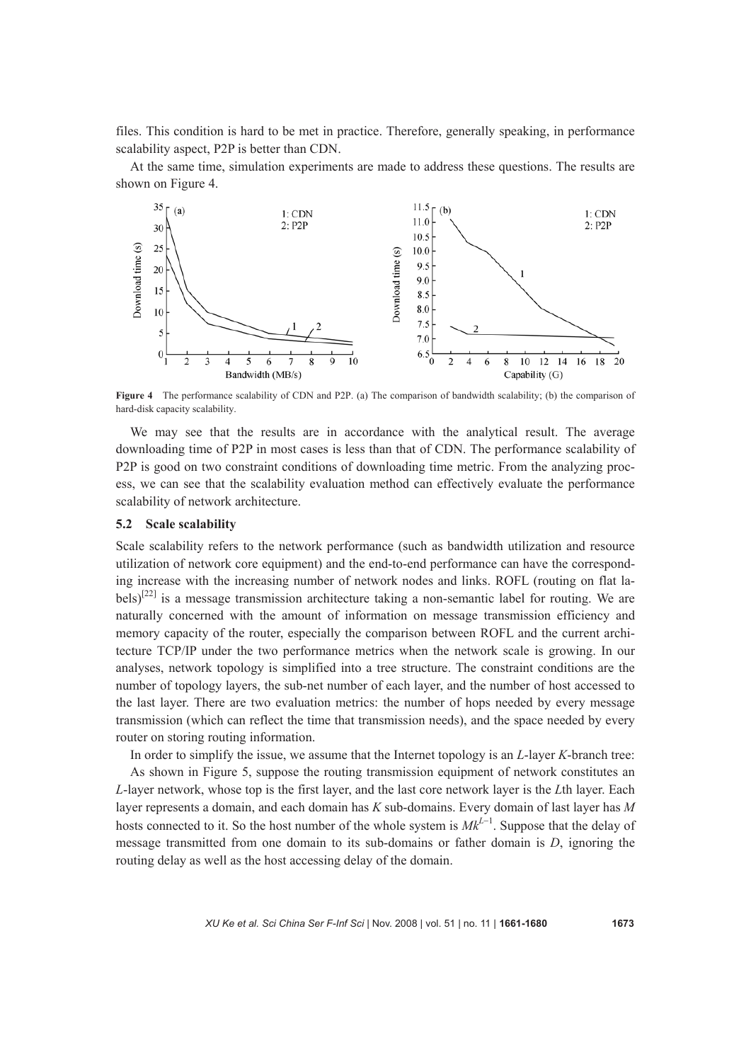files. This condition is hard to be met in practice. Therefore, generally speaking, in performance scalability aspect, P2P is better than CDN.

At the same time, simulation experiments are made to address these questions. The results are shown on Figure 4.



**Figure 4** The performance scalability of CDN and P2P. (a) The comparison of bandwidth scalability; (b) the comparison of hard-disk capacity scalability.

We may see that the results are in accordance with the analytical result. The average downloading time of P2P in most cases is less than that of CDN. The performance scalability of P2P is good on two constraint conditions of downloading time metric. From the analyzing process, we can see that the scalability evaluation method can effectively evaluate the performance scalability of network architecture.

#### **5.2 Scale scalability**

Scale scalability refers to the network performance (such as bandwidth utilization and resource utilization of network core equipment) and the end-to-end performance can have the corresponding increase with the increasing number of network nodes and links. ROFL (routing on flat labels)<sup>[22]</sup> is a message transmission architecture taking a non-semantic label for routing. We are naturally concerned with the amount of information on message transmission efficiency and memory capacity of the router, especially the comparison between ROFL and the current architecture TCP/IP under the two performance metrics when the network scale is growing. In our analyses, network topology is simplified into a tree structure. The constraint conditions are the number of topology layers, the sub-net number of each layer, and the number of host accessed to the last layer. There are two evaluation metrics: the number of hops needed by every message transmission (which can reflect the time that transmission needs), and the space needed by every router on storing routing information.

In order to simplify the issue, we assume that the Internet topology is an *L*-layer *K*-branch tree: As shown in Figure 5, suppose the routing transmission equipment of network constitutes an *L*-layer network, whose top is the first layer, and the last core network layer is the *L*th layer. Each layer represents a domain, and each domain has *K* sub-domains. Every domain of last layer has *M*  hosts connected to it. So the host number of the whole system is  $Mk^{L-1}$ . Suppose that the delay of message transmitted from one domain to its sub-domains or father domain is *D*, ignoring the routing delay as well as the host accessing delay of the domain.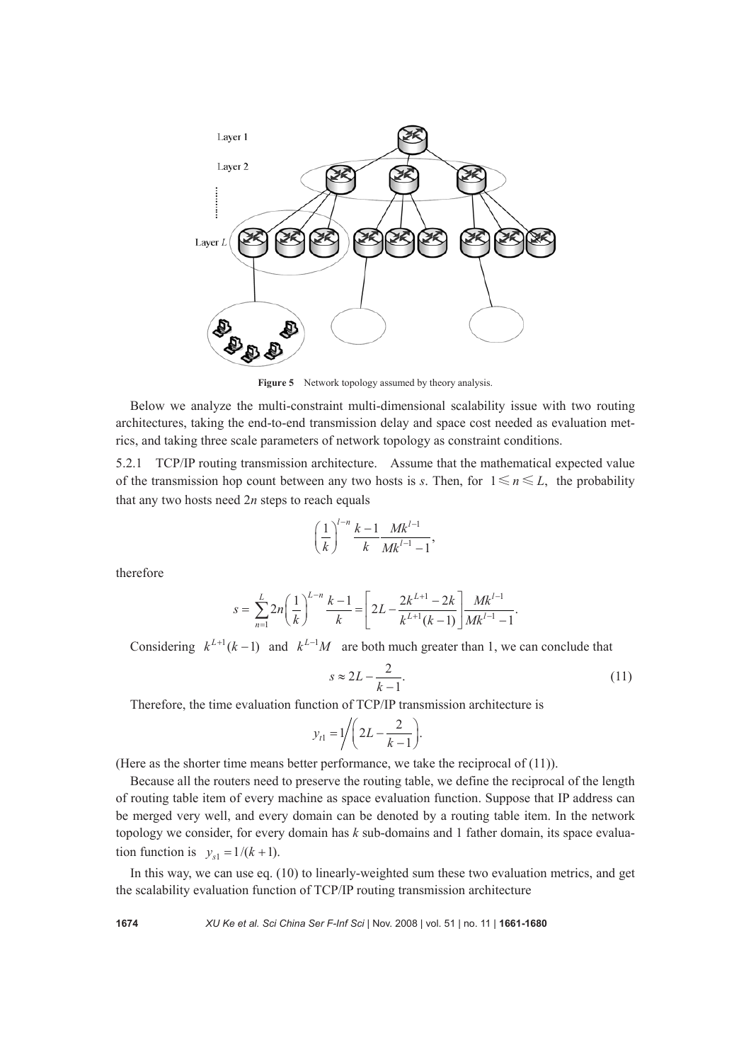

Figure 5 Network topology assumed by theory analysis.

Below we analyze the multi-constraint multi-dimensional scalability issue with two routing architectures, taking the end-to-end transmission delay and space cost needed as evaluation metrics, and taking three scale parameters of network topology as constraint conditions.

5.2.1 TCP/IP routing transmission architecture. Assume that the mathematical expected value of the transmission hop count between any two hosts is *s*. Then, for  $1 \le n \le L$ , the probability that any two hosts need 2*n* steps to reach equals

$$
\left(\frac{1}{k}\right)^{l-n} \frac{k-1}{k} \frac{Mk^{l-1}}{Mk^{l-1}-1},
$$

therefore

$$
s = \sum_{n=1}^{L} 2n \left(\frac{1}{k}\right)^{L-n} \frac{k-1}{k} = \left[2L - \frac{2k^{L+1} - 2k}{k^{L+1}(k-1)}\right] \frac{Mk^{L-1}}{Mk^{L-1} - 1}.
$$

Considering  $k^{L+1}(k-1)$  and  $k^{L-1}M$  are both much greater than 1, we can conclude that

$$
s \approx 2L - \frac{2}{k-1}.\tag{11}
$$

Therefore, the time evaluation function of TCP/IP transmission architecture is

$$
y_{t1} = 1 \Bigg/ \Bigg( 2L - \frac{2}{k-1} \Bigg).
$$

(Here as the shorter time means better performance, we take the reciprocal of (11)).

Because all the routers need to preserve the routing table, we define the reciprocal of the length of routing table item of every machine as space evaluation function. Suppose that IP address can be merged very well, and every domain can be denoted by a routing table item. In the network topology we consider, for every domain has *k* sub-domains and 1 father domain, its space evaluation function is  $y_{s1} = 1/(k+1)$ .

In this way, we can use eq. (10) to linearly-weighted sum these two evaluation metrics, and get the scalability evaluation function of TCP/IP routing transmission architecture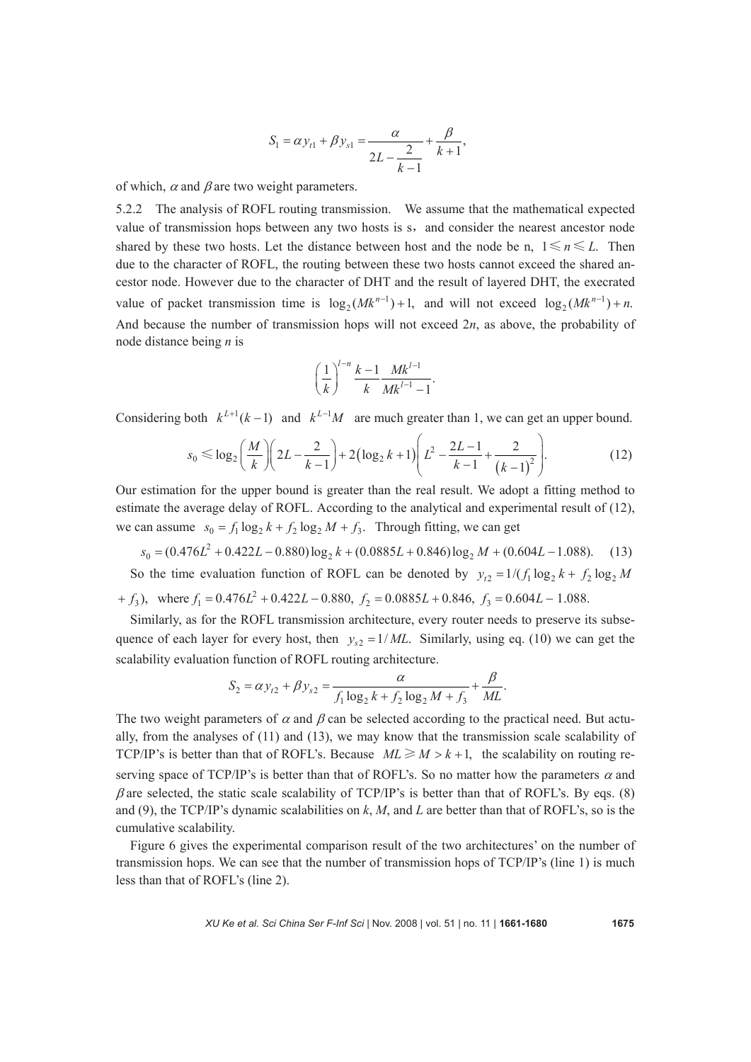$$
S_1 = \alpha y_{t1} + \beta y_{s1} = \frac{\alpha}{2L - \frac{2}{k-1}} + \frac{\beta}{k+1},
$$

of which,  $\alpha$  and  $\beta$  are two weight parameters.

5.2.2 The analysis of ROFL routing transmission. We assume that the mathematical expected value of transmission hops between any two hosts is s, and consider the nearest ancestor node shared by these two hosts. Let the distance between host and the node be n,  $1 \le n \le L$ . Then due to the character of ROFL, the routing between these two hosts cannot exceed the shared ancestor node. However due to the character of DHT and the result of layered DHT, the execrated value of packet transmission time is  $log_2(Mk^{n-1}) + 1$ , and will not exceed  $log_2(Mk^{n-1}) + n$ . And because the number of transmission hops will not exceed 2*n*, as above, the probability of node distance being *n* is

$$
\left(\frac{1}{k}\right)^{l-n} \frac{k-1}{k} \frac{Mk^{l-1}}{Mk^{l-1}-1}.
$$

Considering both  $k^{L+1}(k-1)$  and  $k^{L-1}M$  are much greater than 1, we can get an upper bound.

$$
s_0 \le \log_2\left(\frac{M}{k}\right)\left(2L - \frac{2}{k-1}\right) + 2\left(\log_2 k + 1\right)\left(L^2 - \frac{2L - 1}{k-1} + \frac{2}{\left(k-1\right)^2}\right). \tag{12}
$$

Our estimation for the upper bound is greater than the real result. We adopt a fitting method to estimate the average delay of ROFL. According to the analytical and experimental result of (12), we can assume  $s_0 = f_1 \log_2 k + f_2 \log_2 M + f_3$ . Through fitting, we can get

 $s_0 = (0.476L^2 + 0.422L - 0.880) \log_2 k + (0.0885L + 0.846) \log_2 M + (0.604L - 1.088)$ . (13) So the time evaluation function of ROFL can be denoted by  $y_{t2} = 1/(f_1 \log_2 k + f_2 \log_2 M)$  $f_3$ , where  $f_1 = 0.476L^2 + 0.422L - 0.880$ ,  $f_2 = 0.0885L + 0.846$ ,  $f_3 = 0.604L - 1.088$ .

Similarly, as for the ROFL transmission architecture, every router needs to preserve its subsequence of each layer for every host, then  $y_{s2} = 1/ML$ . Similarly, using eq. (10) we can get the scalability evaluation function of ROFL routing architecture.

$$
S_2 = \alpha y_{12} + \beta y_{s2} = \frac{\alpha}{f_1 \log_2 k + f_2 \log_2 M + f_3} + \frac{\beta}{ML}.
$$

The two weight parameters of  $\alpha$  and  $\beta$  can be selected according to the practical need. But actually, from the analyses of (11) and (13), we may know that the transmission scale scalability of TCP/IP's is better than that of ROFL's. Because  $ML \ge M > k+1$ , the scalability on routing reserving space of TCP/IP's is better than that of ROFL's. So no matter how the parameters  $\alpha$  and  $\beta$  are selected, the static scale scalability of TCP/IP's is better than that of ROFL's. By eqs. (8) and (9), the TCP/IP's dynamic scalabilities on *k*, *M*, and *L* are better than that of ROFL's, so is the cumulative scalability.

Figure 6 gives the experimental comparison result of the two architectures' on the number of transmission hops. We can see that the number of transmission hops of TCP/IP's (line 1) is much less than that of ROFL's (line 2).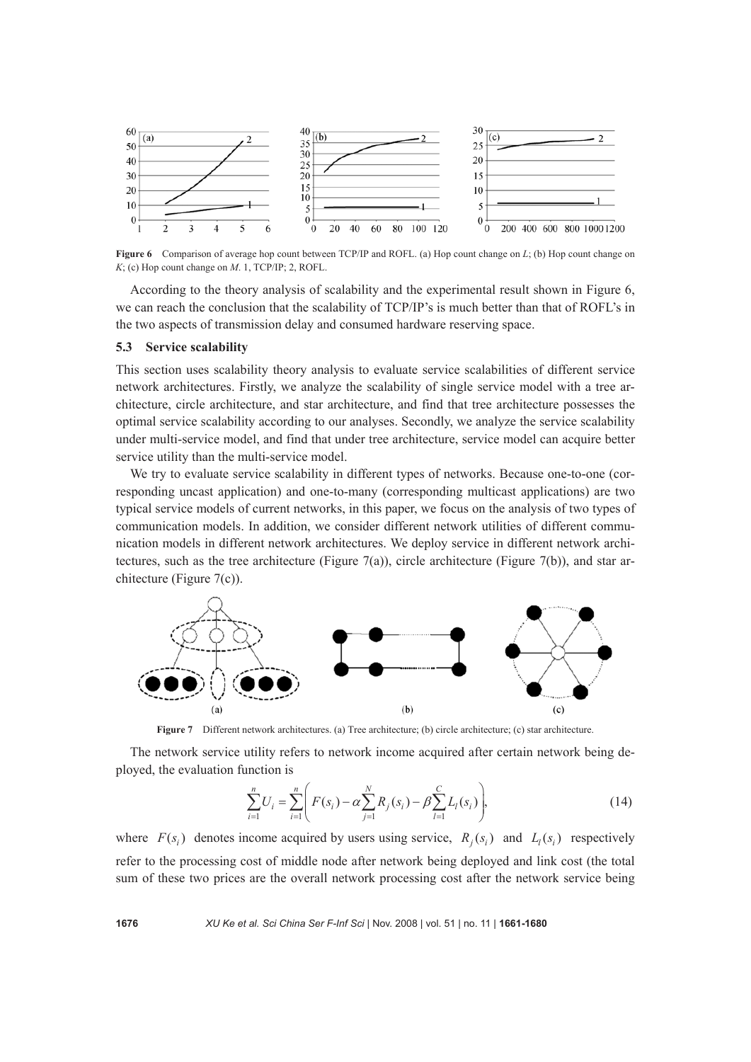

**Figure 6** Comparison of average hop count between TCP/IP and ROFL. (a) Hop count change on *L*; (b) Hop count change on *K*; (c) Hop count change on *M*. 1, TCP/IP; 2, ROFL.

According to the theory analysis of scalability and the experimental result shown in Figure 6, we can reach the conclusion that the scalability of TCP/IP's is much better than that of ROFL's in the two aspects of transmission delay and consumed hardware reserving space.

## **5.3 Service scalability**

This section uses scalability theory analysis to evaluate service scalabilities of different service network architectures. Firstly, we analyze the scalability of single service model with a tree architecture, circle architecture, and star architecture, and find that tree architecture possesses the optimal service scalability according to our analyses. Secondly, we analyze the service scalability under multi-service model, and find that under tree architecture, service model can acquire better service utility than the multi-service model.

We try to evaluate service scalability in different types of networks. Because one-to-one (corresponding uncast application) and one-to-many (corresponding multicast applications) are two typical service models of current networks, in this paper, we focus on the analysis of two types of communication models. In addition, we consider different network utilities of different communication models in different network architectures. We deploy service in different network architectures, such as the tree architecture (Figure 7(a)), circle architecture (Figure 7(b)), and star architecture (Figure 7(c)).



**Figure 7** Different network architectures. (a) Tree architecture; (b) circle architecture; (c) star architecture.

The network service utility refers to network income acquired after certain network being deployed, the evaluation function is

$$
\sum_{i=1}^{n} U_i = \sum_{i=1}^{n} \left( F(s_i) - \alpha \sum_{j=1}^{N} R_j(s_i) - \beta \sum_{l=1}^{C} L_l(s_i) \right),\tag{14}
$$

where  $F(s_i)$  denotes income acquired by users using service,  $R_i(s_i)$  and  $L_i(s_i)$  respectively refer to the processing cost of middle node after network being deployed and link cost (the total sum of these two prices are the overall network processing cost after the network service being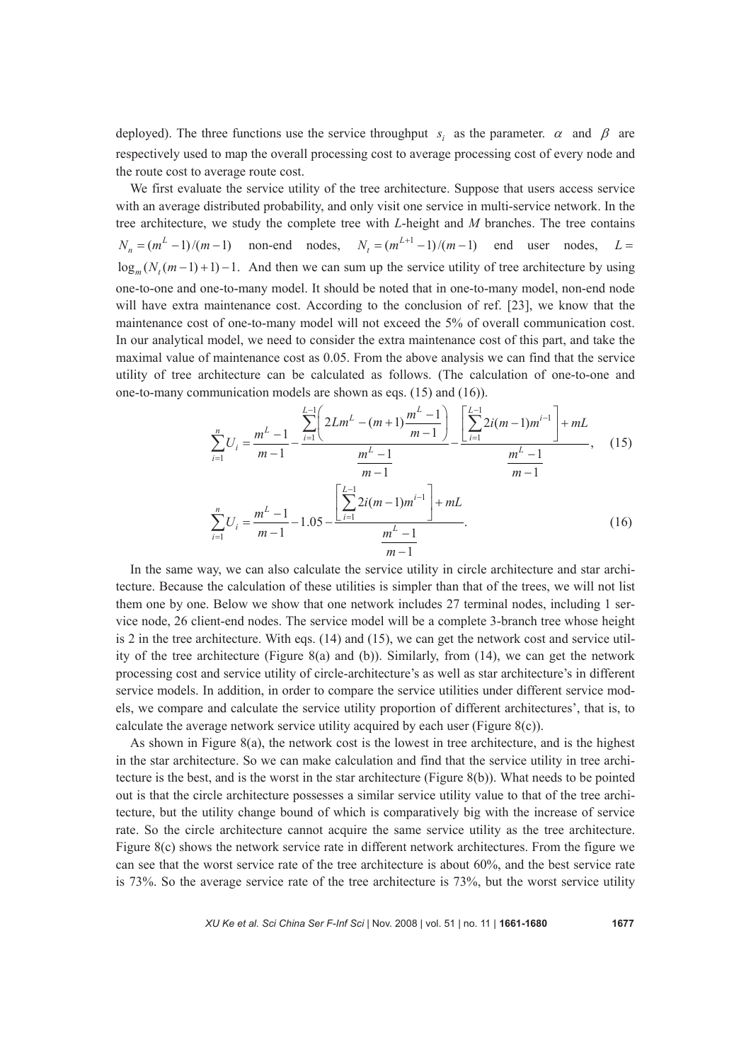deployed). The three functions use the service throughput *s<sub>i</sub>* as the parameter.  $\alpha$  and  $\beta$  are respectively used to map the overall processing cost to average processing cost of every node and the route cost to average route cost.

We first evaluate the service utility of the tree architecture. Suppose that users access service with an average distributed probability, and only visit one service in multi-service network. In the tree architecture, we study the complete tree with *L*-height and *M* branches. The tree contains  $N_n = (m^L - 1)/(m - 1)$  non-end nodes,  $N_t = (m^{L+1} - 1)/(m - 1)$  end user nodes,  $L =$  $\log_m(N_t(m-1)+1)-1$ . And then we can sum up the service utility of tree architecture by using one-to-one and one-to-many model. It should be noted that in one-to-many model, non-end node will have extra maintenance cost. According to the conclusion of ref. [23], we know that the maintenance cost of one-to-many model will not exceed the 5% of overall communication cost. In our analytical model, we need to consider the extra maintenance cost of this part, and take the maximal value of maintenance cost as 0.05. From the above analysis we can find that the service utility of tree architecture can be calculated as follows. (The calculation of one-to-one and one-to-many communication models are shown as eqs. (15) and (16)).

$$
\sum_{i=1}^{n} U_i = \frac{m^L - 1}{m - 1} - \frac{\sum_{i=1}^{L-1} \left( 2Lm^L - (m+1)\frac{m^L - 1}{m-1} \right)}{\frac{m^L - 1}{m - 1}} - \frac{\left[ \sum_{i=1}^{L-1} 2i(m-1)m^{i-1} \right] + mL}{\frac{m^L - 1}{m - 1}}, \quad (15)
$$
\n
$$
\sum_{i=1}^{n} U_i = \frac{m^L - 1}{m - 1} - 1.05 - \frac{\left[ \sum_{i=1}^{L-1} 2i(m-1)m^{i-1} \right] + mL}{\frac{m^L - 1}{m - 1}}.
$$
\n
$$
(16)
$$

In the same way, we can also calculate the service utility in circle architecture and star architecture. Because the calculation of these utilities is simpler than that of the trees, we will not list them one by one. Below we show that one network includes 27 terminal nodes, including 1 service node, 26 client-end nodes. The service model will be a complete 3-branch tree whose height is 2 in the tree architecture. With eqs. (14) and (15), we can get the network cost and service utility of the tree architecture (Figure 8(a) and (b)). Similarly, from (14), we can get the network processing cost and service utility of circle-architecture's as well as star architecture's in different service models. In addition, in order to compare the service utilities under different service models, we compare and calculate the service utility proportion of different architectures', that is, to calculate the average network service utility acquired by each user (Figure  $8(c)$ ).

As shown in Figure 8(a), the network cost is the lowest in tree architecture, and is the highest in the star architecture. So we can make calculation and find that the service utility in tree architecture is the best, and is the worst in the star architecture (Figure 8(b)). What needs to be pointed out is that the circle architecture possesses a similar service utility value to that of the tree architecture, but the utility change bound of which is comparatively big with the increase of service rate. So the circle architecture cannot acquire the same service utility as the tree architecture. Figure 8(c) shows the network service rate in different network architectures. From the figure we can see that the worst service rate of the tree architecture is about 60%, and the best service rate is 73%. So the average service rate of the tree architecture is 73%, but the worst service utility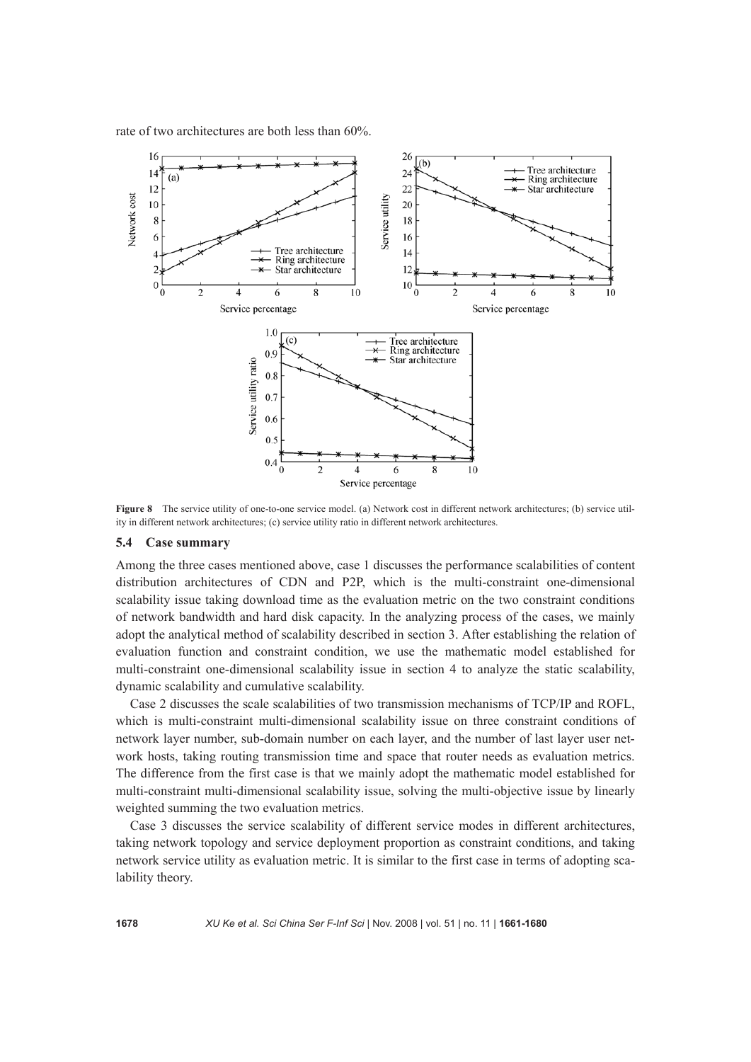rate of two architectures are both less than 60%.



**Figure 8** The service utility of one-to-one service model. (a) Network cost in different network architectures; (b) service utility in different network architectures; (c) service utility ratio in different network architectures.

#### **5.4 Case summary**

Among the three cases mentioned above, case 1 discusses the performance scalabilities of content distribution architectures of CDN and P2P, which is the multi-constraint one-dimensional scalability issue taking download time as the evaluation metric on the two constraint conditions of network bandwidth and hard disk capacity. In the analyzing process of the cases, we mainly adopt the analytical method of scalability described in section 3. After establishing the relation of evaluation function and constraint condition, we use the mathematic model established for multi-constraint one-dimensional scalability issue in section 4 to analyze the static scalability, dynamic scalability and cumulative scalability.

Case 2 discusses the scale scalabilities of two transmission mechanisms of TCP/IP and ROFL, which is multi-constraint multi-dimensional scalability issue on three constraint conditions of network layer number, sub-domain number on each layer, and the number of last layer user network hosts, taking routing transmission time and space that router needs as evaluation metrics. The difference from the first case is that we mainly adopt the mathematic model established for multi-constraint multi-dimensional scalability issue, solving the multi-objective issue by linearly weighted summing the two evaluation metrics.

Case 3 discusses the service scalability of different service modes in different architectures, taking network topology and service deployment proportion as constraint conditions, and taking network service utility as evaluation metric. It is similar to the first case in terms of adopting scalability theory.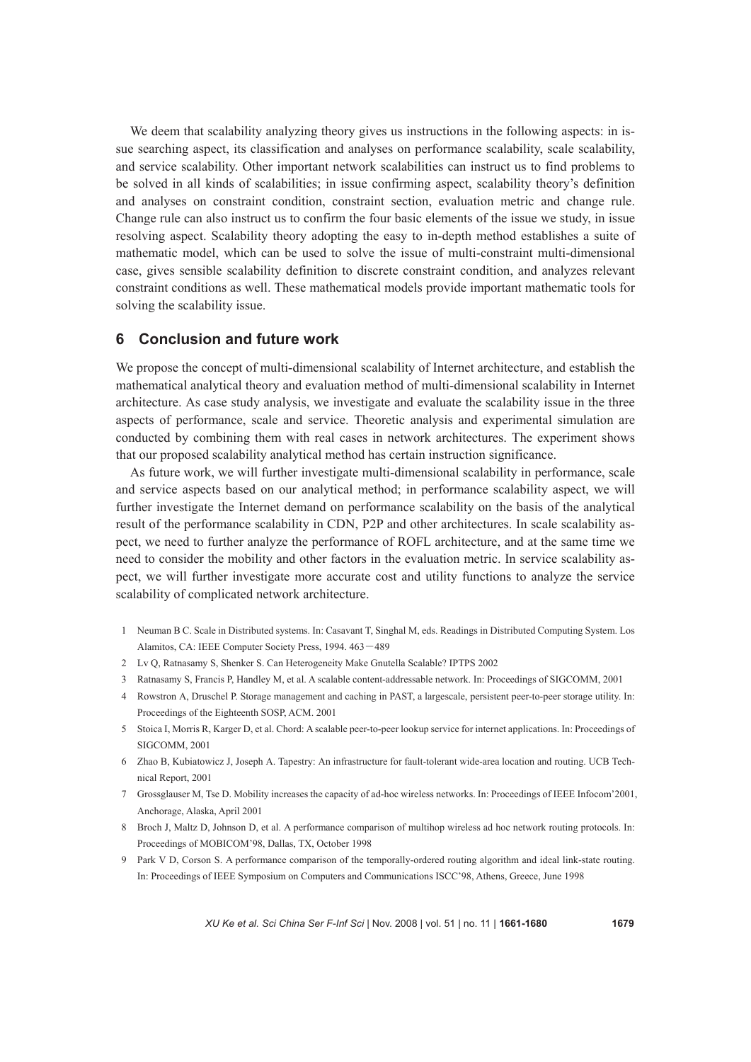We deem that scalability analyzing theory gives us instructions in the following aspects: in issue searching aspect, its classification and analyses on performance scalability, scale scalability, and service scalability. Other important network scalabilities can instruct us to find problems to be solved in all kinds of scalabilities; in issue confirming aspect, scalability theory's definition and analyses on constraint condition, constraint section, evaluation metric and change rule. Change rule can also instruct us to confirm the four basic elements of the issue we study, in issue resolving aspect. Scalability theory adopting the easy to in-depth method establishes a suite of mathematic model, which can be used to solve the issue of multi-constraint multi-dimensional case, gives sensible scalability definition to discrete constraint condition, and analyzes relevant constraint conditions as well. These mathematical models provide important mathematic tools for solving the scalability issue.

## **6 Conclusion and future work**

We propose the concept of multi-dimensional scalability of Internet architecture, and establish the mathematical analytical theory and evaluation method of multi-dimensional scalability in Internet architecture. As case study analysis, we investigate and evaluate the scalability issue in the three aspects of performance, scale and service. Theoretic analysis and experimental simulation are conducted by combining them with real cases in network architectures. The experiment shows that our proposed scalability analytical method has certain instruction significance.

As future work, we will further investigate multi-dimensional scalability in performance, scale and service aspects based on our analytical method; in performance scalability aspect, we will further investigate the Internet demand on performance scalability on the basis of the analytical result of the performance scalability in CDN, P2P and other architectures. In scale scalability aspect, we need to further analyze the performance of ROFL architecture, and at the same time we need to consider the mobility and other factors in the evaluation metric. In service scalability aspect, we will further investigate more accurate cost and utility functions to analyze the service scalability of complicated network architecture.

- 1 Neuman B C. Scale in Distributed systems. In: Casavant T, Singhal M, eds. Readings in Distributed Computing System. Los Alamitos, CA: IEEE Computer Society Press, 1994. 463―489
- 2 Lv Q, Ratnasamy S, Shenker S. Can Heterogeneity Make Gnutella Scalable? IPTPS 2002
- 3 Ratnasamy S, Francis P, Handley M, et al. A scalable content-addressable network. In: Proceedings of SIGCOMM, 2001
- 4 Rowstron A, Druschel P. Storage management and caching in PAST, a largescale, persistent peer-to-peer storage utility. In: Proceedings of the Eighteenth SOSP, ACM. 2001
- 5 Stoica I, Morris R, Karger D, et al. Chord: A scalable peer-to-peer lookup service for internet applications. In: Proceedings of SIGCOMM, 2001
- 6 Zhao B, Kubiatowicz J, Joseph A. Tapestry: An infrastructure for fault-tolerant wide-area location and routing. UCB Technical Report, 2001
- 7 Grossglauser M, Tse D. Mobility increases the capacity of ad-hoc wireless networks. In: Proceedings of IEEE Infocom'2001, Anchorage, Alaska, April 2001
- 8 Broch J, Maltz D, Johnson D, et al. A performance comparison of multihop wireless ad hoc network routing protocols. In: Proceedings of MOBICOM'98, Dallas, TX, October 1998
- 9 Park V D, Corson S. A performance comparison of the temporally-ordered routing algorithm and ideal link-state routing. In: Proceedings of IEEE Symposium on Computers and Communications ISCC'98, Athens, Greece, June 1998